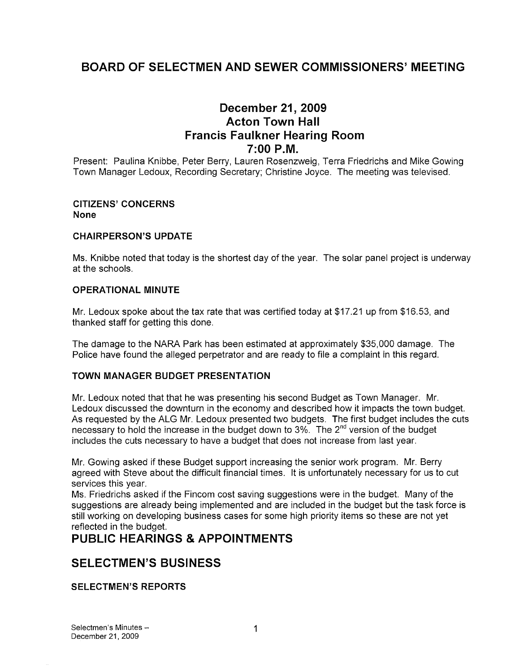# BOARD OF SELECTMEN AND SEWER COMMISSIONERS' MEETING

# December 21, 2009 Acton Town Hall Francis Faulkner Hearing Room 7:00 P.M.

Present: Paulina Knibbe, Peter Berry, Lauren Rosenzweig, Terra Friedrichs and Mike Gowing Town Manager Ledoux, Recording Secretary; Christine Joyce. The meeting was televised.

#### CITIZENS' CONCERNS None

### CHAIRPERSON'S UPDATE

Ms. Knibbe noted that today is the shortest day of the year. The solar panel project is underway at the schools.

### OPERATIONAL MINUTE

Mr. Ledoux spoke about the tax rate that was certified today at \$17.21 up from \$16.53, and thanked staff for getting this done.

The damage to the NARA Park has been estimated at approximately \$35,000 damage. The Police have found the alleged perpetrator and are ready to file a complaint in this regard.

### TOWN MANAGER BUDGET PRESENTATION

Mr. Ledoux noted that that he was presenting his second Budget as Town Manager. Mr. Ledoux discussed the downturn in the economy and described how it impacts the town budget. As requested by the ALG Mr. Ledoux presented two budgets. The first budget includes the cuts necessary to hold the increase in the budget down to  $3\%$ . The  $2^{nd}$  version of the budget includes the cuts necessary to have a budget that does not increase from last year.

Mr. Gowing asked if these Budget support increasing the senior work program. Mr. Berry agreed with Steve about the difficult financial times. It is unfortunately necessary for us to cut services this year.

Ms. Friedrichs asked if the Fincom cost saving suggestions were in the budget. Many of the suggestions are already being implemented and are included in the budget but the task force is still working on developing business cases for some high priority items so these are not yet reflected in the budget.

# PUBLIC HEARINGS & APPOINTMENTS

# SELECTMEN'S BUSINESS

SELECTMEN'S REPORTS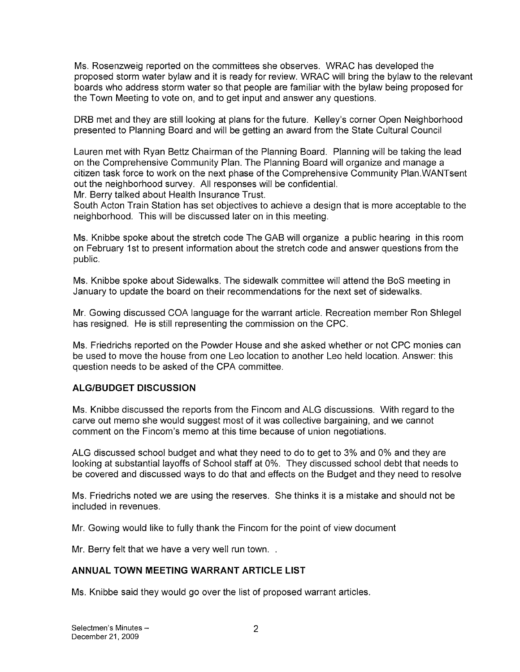Ms. Rosenzweig reported on the committees she observes. WRAC has developed the proposed storm water bylaw and it is ready for review. WRAC will bring the bylaw to the relevant boards who address storm water so that people are familiar with the bylaw being proposed for the Town Meeting to vote on, and to get input and answer any questions.

DRB met and they are still looking at plans for the future. Kelley's corner Open Neighborhood presented to Planning Board and will be getting an award from the State Cultural Council

Lauren met with Ryan Bettz Chairman of the Planning Board. Planning will be taking the lead on the Comprehensive Community Plan. The Planning Board will organize and manage a citizen task force to work on the next phase of the Comprehensive Community Plan.WANTsent out the neighborhood survey. All responses will be confidential.

Mr. Berry talked about Health Insurance Trust.

South Acton Train Station has set objectives to achieve a design that is more acceptable to the neighborhood. This will be discussed later on in this meeting.

Ms. Knibbe spoke about the stretch code The GAB will organize a public hearing in this room on February 1st to present information about the stretch code and answer questions from the public.

Ms. Knibbe spoke about Sidewalks. The sidewalk committee will attend the BoS meeting in January to update the board on their recommendations for the next set of sidewalks.

Mr. Gowing discussed COA language for the warrant article. Recreation member Ron Shlegel has resigned. He is still representing the commission on the CPC.

Ms. Friedrichs reported on the Powder House and she asked whether or not CPC monies can be used to move the house from one Leo location to another Leo held location. Answer: this question needs to be asked of the CPA committee.

## ALGIBUDGET DISCUSSION

Ms. Knibbe discussed the reports from the Fincom and ALG discussions. With regard to the carve out memo she would suggest most of it was collective bargaining, and we cannot comment on the Fincom's memo at this time because of union negotiations.

ALG discussed school budget and what they need to do to get to 3% and 0% and they are looking at substantial layoffs of School staff at 0%. They discussed school debt that needs to be covered and discussed ways to do that and effects on the Budget and they need to resolve

Ms. Friedrichs noted we are using the reserves. She thinks it is a mistake and should not be included in revenues.

Mr. Gowing would like to fully thank the Fincom for the point of view document

Mr. Berry felt that we have a very well run town...

## ANNUAL TOWN MEETING WARRANT ARTICLE LIST

Ms. Knibbe said they would go over the list of proposed warrant articles.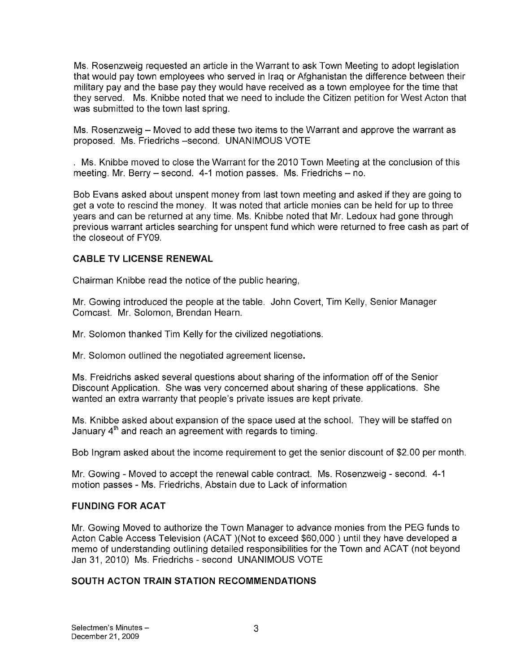Ms. Rosenzweig requested an article in the Warrant to ask Town Meeting to adopt legislation that would pay town employees who served in Iraq or Afghanistan the difference between their military pay and the base pay they would have received as a town employee for the time that they served. Ms. Knibbe noted that we need to include the Citizen petition for West Acton that was submitted to the town last spring.

Ms. Rosenzweig — Moved to add these two items to the Warrant and approve the warrant as proposed. Ms. Friedrichs —second. UNANIMOUS VOTE

Ms. Knibbe moved to close the Warrant for the 2010 Town Meeting at the conclusion of this meeting. Mr. Berry — second. 4-1 motion passes. Ms. Friedrichs — no.

Bob Evans asked about unspent money from last town meeting and asked if they are going to get a vote to rescind the money. It was noted that article monies can be held for up to three years and can be returned at any time. Ms. Knibbe noted that Mr. Ledoux had gone through previous warrant articles searching for unspent fund which were returned to free cash as part of the closeout of FY09.

## CABLE TV LICENSE RENEWAL

Chairman Knibbe read the notice of the public hearing,

Mr. Gowing introduced the people at the table. John Covert, Tim Kelly, Senior Manager Comcast. Mr. Solomon, Brendan Hearn.

Mr. Solomon thanked Tim Kelly for the civilized negotiations.

Mr. Solomon outlined the negotiated agreement license.

Ms. Freidrichs asked several questions about sharing of the information off of the Senior Discount Application. She was very concerned about sharing of these applications. She wanted an extra warranty that people's private issues are kept private.

Ms. Knibbe asked about expansion of the space used at the school. They will be staffed on January  $4<sup>th</sup>$  and reach an agreement with regards to timing.

Bob Ingram asked about the income requirement to get the senior discount of \$2.00 per month.

Mr. Gowing - Moved to accept the renewal cable contract. Ms. Rosenzweig - second. 4-1 motion passes - Ms. Friedrichs, Abstain due to Lack of information

### FUNDING FOR ACAT

Mr. Gowing Moved to authorize the Town Manager to advance monies from the PEG funds to Acton Cable Access Television (ACAT )(Not to exceed \$60,000) until they have developed a memo of understanding outlining detailed responsibilities for the Town and ACAT (not beyond Jan 31, 2010) Ms. Friedrichs - second UNANIMOUS VOTE

## SOUTH ACTON TRAIN STATION RECOMMENDATIONS